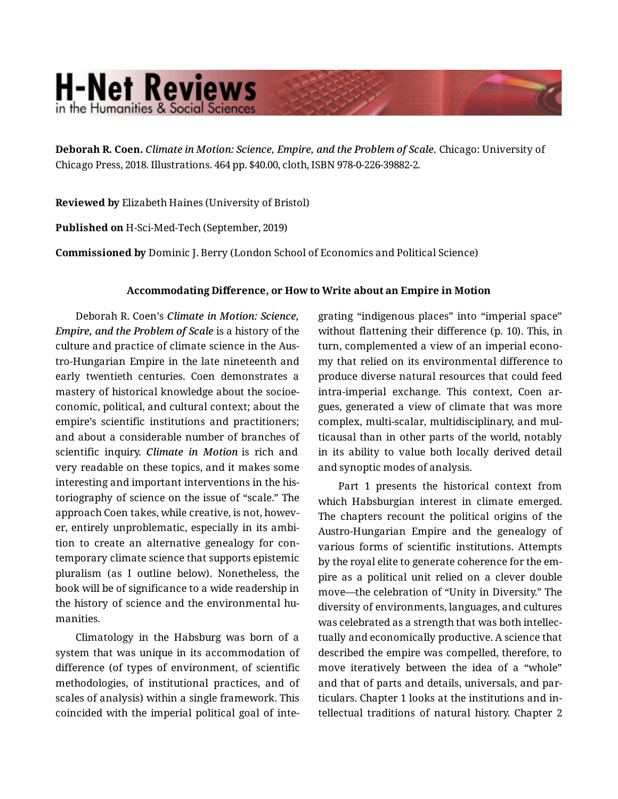## **H-Net Reviews** in the Humanities & Social Scienc

**Deborah R. Coen.** *Climate in Motion: Science, Empire, and the Problem of Scale.* Chicago: University of Chicago Press, 2018. Illustrations. 464 pp. \$40.00, cloth, ISBN 978-0-226-39882-2.

**Reviewed by** Elizabeth Haines (University of Bristol)

**Published on** H-Sci-Med-Tech (September, 2019)

**Commissioned by** Dominic J. Berry (London School of Economics and Political Science)

## **Accommodating Difference, or How to Write about an Empire in Motion**

Deborah R. Coen's *Climate in Motion: Science, Empire, and the Problem of Scale* is a history of the culture and practice of climate science in the Aus‐ tro-Hungarian Empire in the late nineteenth and early twentieth centuries. Coen demonstrates a mastery of historical knowledge about the socioe‐ conomic, political, and cultural context; about the empire's scientific institutions and practitioners; and about a considerable number of branches of scientific inquiry. *Climate in Motion* is rich and very readable on these topics, and it makes some interesting and important interventions in the his‐ toriography of science on the issue of "scale." The approach Coen takes, while creative, is not, howev‐ er, entirely unproblematic, especially in its ambi‐ tion to create an alternative genealogy for con‐ temporary climate science that supports epistemic pluralism (as I outline below). Nonetheless, the book will be of significance to a wide readership in the history of science and the environmental humanities.

Climatology in the Habsburg was born of a system that was unique in its accommodation of difference (of types of environment, of scientific methodologies, of institutional practices, and of scales of analysis) within a single framework. This coincided with the imperial political goal of inte‐

grating "indigenous places" into "imperial space" without flattening their difference (p. 10). This, in turn, complemented a view of an imperial econo‐ my that relied on its environmental difference to produce diverse natural resources that could feed intra-imperial exchange. This context, Coen argues, generated a view of climate that was more complex, multi-scalar, multidisciplinary, and mul‐ ticausal than in other parts of the world, notably in its ability to value both locally derived detail and synoptic modes of analysis.

Part 1 presents the historical context from which Habsburgian interest in climate emerged. The chapters recount the political origins of the Austro-Hungarian Empire and the genealogy of various forms of scientific institutions. Attempts by the royal elite to generate coherence for the em‐ pire as a political unit relied on a clever double move—the celebration of "Unity in Diversity." The diversity of environments, languages, and cultures was celebrated as a strength that was both intellec‐ tually and economically productive. A science that described the empire was compelled, therefore, to move iteratively between the idea of a "whole" and that of parts and details, universals, and par‐ ticulars. Chapter 1 looks at the institutions and in‐ tellectual traditions of natural history. Chapter 2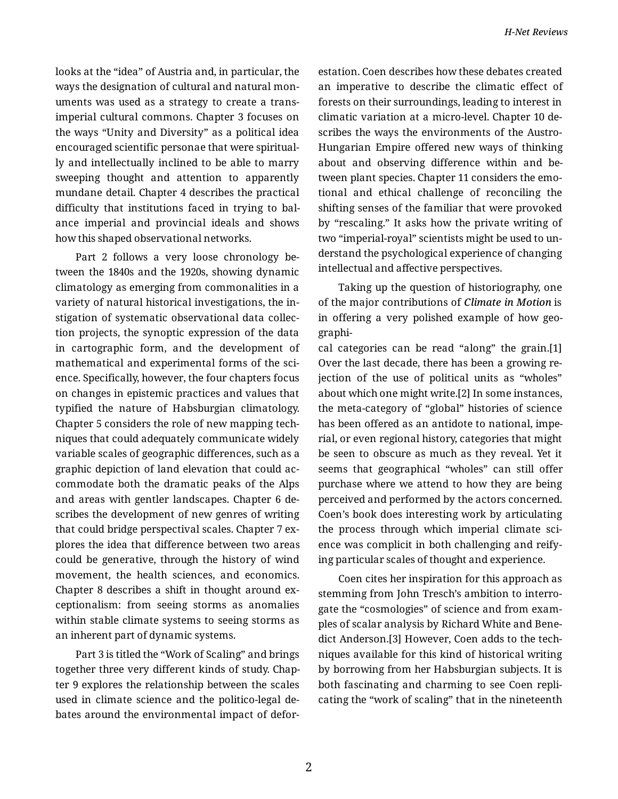looks at the "idea" of Austria and, in particular, the ways the designation of cultural and natural mon‐ uments was used as a strategy to create a transimperial cultural commons. Chapter 3 focuses on the ways "Unity and Diversity" as a political idea encouraged scientific personae that were spiritual‐ ly and intellectually inclined to be able to marry sweeping thought and attention to apparently mundane detail. Chapter 4 describes the practical difficulty that institutions faced in trying to bal‐ ance imperial and provincial ideals and shows how this shaped observational networks.

Part 2 follows a very loose chronology be‐ tween the 1840s and the 1920s, showing dynamic climatology as emerging from commonalities in a variety of natural historical investigations, the in‐ stigation of systematic observational data collec‐ tion projects, the synoptic expression of the data in cartographic form, and the development of mathematical and experimental forms of the sci‐ ence. Specifically, however, the four chapters focus on changes in epistemic practices and values that typified the nature of Habsburgian climatology. Chapter 5 considers the role of new mapping tech‐ niques that could adequately communicate widely variable scales of geographic differences, such as a graphic depiction of land elevation that could ac‐ commodate both the dramatic peaks of the Alps and areas with gentler landscapes. Chapter 6 de‐ scribes the development of new genres of writing that could bridge perspectival scales. Chapter 7 ex‐ plores the idea that difference between two areas could be generative, through the history of wind movement, the health sciences, and economics. Chapter 8 describes a shift in thought around ex‐ ceptionalism: from seeing storms as anomalies within stable climate systems to seeing storms as an inherent part of dynamic systems.

Part 3 is titled the "Work of Scaling" and brings together three very different kinds of study. Chap‐ ter 9 explores the relationship between the scales used in climate science and the politico-legal de‐ bates around the environmental impact of defor‐

estation. Coen describes how these debates created an imperative to describe the climatic effect of forests on their surroundings, leading to interest in climatic variation at a micro-level. Chapter 10 de‐ scribes the ways the environments of the Austro-Hungarian Empire offered new ways of thinking about and observing difference within and be‐ tween plant species. Chapter 11 considers the emo‐ tional and ethical challenge of reconciling the shifting senses of the familiar that were provoked by "rescaling." It asks how the private writing of two "imperial-royal" scientists might be used to un‐ derstand the psychological experience of changing intellectual and affective perspectives.

Taking up the question of historiography, one of the major contributions of *Climate in Motion* is in offering a very polished example of how geo‐ graphi‐

cal categories can be read "along" the grain.[1] Over the last decade, there has been a growing re‐ jection of the use of political units as "wholes" about which one might write.[2] In some instances, the meta-category of "global" histories of science has been offered as an antidote to national, imperial, or even regional history, categories that might be seen to obscure as much as they reveal. Yet it seems that geographical "wholes" can still offer purchase where we attend to how they are being perceived and performed by the actors concerned. Coen's book does interesting work by articulating the process through which imperial climate sci‐ ence was complicit in both challenging and reify‐ ing particular scales of thought and experience.

Coen cites her inspiration for this approach as stemming from John Tresch's ambition to interro‐ gate the "cosmologies" of science and from exam‐ ples of scalar analysis by Richard White and Bene‐ dict Anderson.[3] However, Coen adds to the tech‐ niques available for this kind of historical writing by borrowing from her Habsburgian subjects. It is both fascinating and charming to see Coen repli‐ cating the "work of scaling" that in the nineteenth

2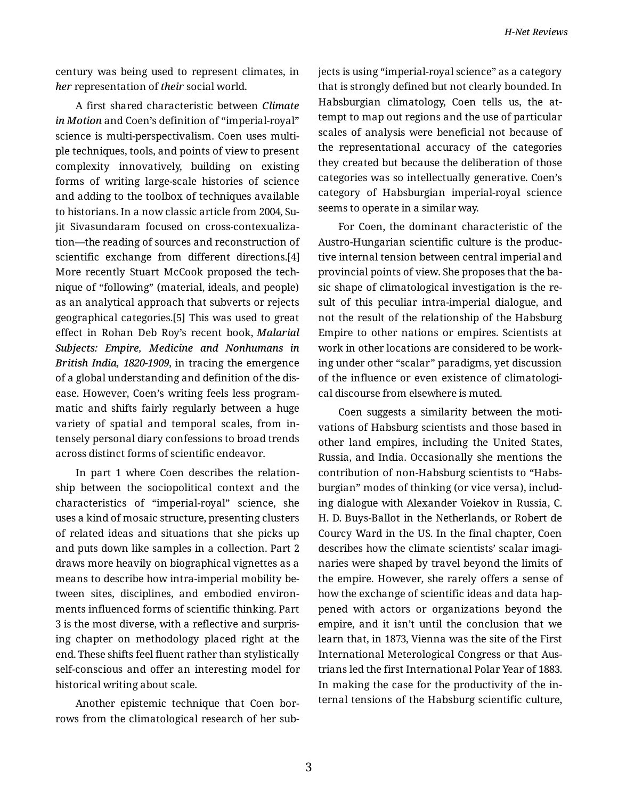century was being used to represent climates, in *her* representation of *their* social world.

A first shared characteristic between *Climate in Motion* and Coen's definition of "imperial-royal" science is multi-perspectivalism. Coen uses multi‐ ple techniques, tools, and points of view to present complexity innovatively, building on existing forms of writing large-scale histories of science and adding to the toolbox of techniques available to historians. In a now classic article from 2004, Su‐ jit Sivasundaram focused on cross-contexualiza‐ tion—the reading of sources and reconstruction of scientific exchange from different directions.[4] More recently Stuart McCook proposed the tech‐ nique of "following" (material, ideals, and people) as an analytical approach that subverts or rejects geographical categories.[5] This was used to great effect in Rohan Deb Roy's recent book, *Malarial Subjects: Empire, Medicine and Nonhumans in British India, 1820-1909*, in tracing the emergence of a global understanding and definition of the dis‐ ease. However, Coen's writing feels less program‐ matic and shifts fairly regularly between a huge variety of spatial and temporal scales, from in‐ tensely personal diary confessions to broad trends across distinct forms of scientific endeavor.

In part 1 where Coen describes the relation‐ ship between the sociopolitical context and the characteristics of "imperial-royal" science, she uses a kind of mosaic structure, presenting clusters of related ideas and situations that she picks up and puts down like samples in a collection. Part 2 draws more heavily on biographical vignettes as a means to describe how intra-imperial mobility be‐ tween sites, disciplines, and embodied environ‐ ments influenced forms of scientific thinking. Part 3 is the most diverse, with a reflective and surpris‐ ing chapter on methodology placed right at the end. These shifts feel fluent rather than stylistically self-conscious and offer an interesting model for historical writing about scale.

Another epistemic technique that Coen bor‐ rows from the climatological research of her sub‐ jects is using "imperial-royal science" as a category that is strongly defined but not clearly bounded. In Habsburgian climatology, Coen tells us, the at‐ tempt to map out regions and the use of particular scales of analysis were beneficial not because of the representational accuracy of the categories they created but because the deliberation of those categories was so intellectually generative. Coen's category of Habsburgian imperial-royal science seems to operate in a similar way.

For Coen, the dominant characteristic of the Austro-Hungarian scientific culture is the produc‐ tive internal tension between central imperial and provincial points of view. She proposes that the ba‐ sic shape of climatological investigation is the re‐ sult of this peculiar intra-imperial dialogue, and not the result of the relationship of the Habsburg Empire to other nations or empires. Scientists at work in other locations are considered to be work‐ ing under other "scalar" paradigms, yet discussion of the influence or even existence of climatologi‐ cal discourse from elsewhere is muted.

Coen suggests a similarity between the moti‐ vations of Habsburg scientists and those based in other land empires, including the United States, Russia, and India. Occasionally she mentions the contribution of non-Habsburg scientists to "Habs‐ burgian" modes of thinking (or vice versa), includ‐ ing dialogue with Alexander Voiekov in Russia, C. H. D. Buys-Ballot in the Netherlands, or Robert de Courcy Ward in the US. In the final chapter, Coen describes how the climate scientists' scalar imaginaries were shaped by travel beyond the limits of the empire. However, she rarely offers a sense of how the exchange of scientific ideas and data hap‐ pened with actors or organizations beyond the empire, and it isn't until the conclusion that we learn that, in 1873, Vienna was the site of the First International Meterological Congress or that Aus‐ trians led the first International Polar Year of 1883. In making the case for the productivity of the in‐ ternal tensions of the Habsburg scientific culture,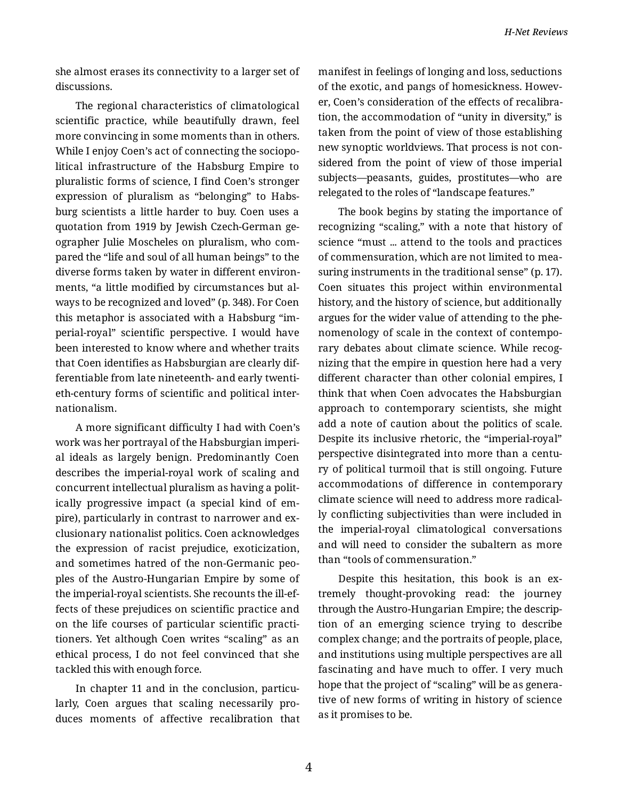she almost erases its connectivity to a larger set of discussions.

The regional characteristics of climatological scientific practice, while beautifully drawn, feel more convincing in some moments than in others. While I enjoy Coen's act of connecting the sociopo‐ litical infrastructure of the Habsburg Empire to pluralistic forms of science, I find Coen's stronger expression of pluralism as "belonging" to Habs‐ burg scientists a little harder to buy. Coen uses a quotation from 1919 by Jewish Czech-German ge‐ ographer Julie Moscheles on pluralism, who com‐ pared the "life and soul of all human beings" to the diverse forms taken by water in different environ‐ ments, "a little modified by circumstances but al‐ ways to be recognized and loved" (p. 348). For Coen this metaphor is associated with a Habsburg "im‐ perial-royal" scientific perspective. I would have been interested to know where and whether traits that Coen identifies as Habsburgian are clearly dif‐ ferentiable from late nineteenth- and early twenti‐ eth-century forms of scientific and political inter‐ nationalism.

A more significant difficulty I had with Coen's work was her portrayal of the Habsburgian imperi‐ al ideals as largely benign. Predominantly Coen describes the imperial-royal work of scaling and concurrent intellectual pluralism as having a polit‐ ically progressive impact (a special kind of em‐ pire), particularly in contrast to narrower and ex‐ clusionary nationalist politics. Coen acknowledges the expression of racist prejudice, exoticization, and sometimes hatred of the non-Germanic peo‐ ples of the Austro-Hungarian Empire by some of the imperial-royal scientists. She recounts the ill-ef‐ fects of these prejudices on scientific practice and on the life courses of particular scientific practi‐ tioners. Yet although Coen writes "scaling" as an ethical process, I do not feel convinced that she tackled this with enough force.

In chapter 11 and in the conclusion, particularly, Coen argues that scaling necessarily pro‐ duces moments of affective recalibration that manifest in feelings of longing and loss, seductions of the exotic, and pangs of homesickness. Howev‐ er, Coen's consideration of the effects of recalibra‐ tion, the accommodation of "unity in diversity," is taken from the point of view of those establishing new synoptic worldviews. That process is not con‐ sidered from the point of view of those imperial subjects—peasants, guides, prostitutes—who are relegated to the roles of "landscape features."

The book begins by stating the importance of recognizing "scaling," with a note that history of science "must ... attend to the tools and practices of commensuration, which are not limited to mea‐ suring instruments in the traditional sense" (p. 17). Coen situates this project within environmental history, and the history of science, but additionally argues for the wider value of attending to the phe‐ nomenology of scale in the context of contempo‐ rary debates about climate science. While recog‐ nizing that the empire in question here had a very different character than other colonial empires, I think that when Coen advocates the Habsburgian approach to contemporary scientists, she might add a note of caution about the politics of scale. Despite its inclusive rhetoric, the "imperial-royal" perspective disintegrated into more than a century of political turmoil that is still ongoing. Future accommodations of difference in contemporary climate science will need to address more radical‐ ly conflicting subjectivities than were included in the imperial-royal climatological conversations and will need to consider the subaltern as more than "tools of commensuration."

Despite this hesitation, this book is an extremely thought-provoking read: the journey through the Austro-Hungarian Empire; the descrip‐ tion of an emerging science trying to describe complex change; and the portraits of people, place, and institutions using multiple perspectives are all fascinating and have much to offer. I very much hope that the project of "scaling" will be as genera‐ tive of new forms of writing in history of science as it promises to be.

4